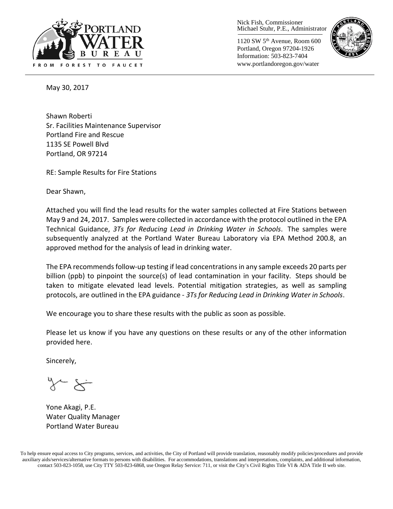

Nick Fish, Commissioner Michael Stuhr, P.E., Administrator

1120 SW 5th Avenue, Room 600 Portland, Oregon 97204-1926 Information: 503-823-7404 www.portlandoregon.gov/water



May 30, 2017

Shawn Roberti Sr. Facilities Maintenance Supervisor Portland Fire and Rescue 1135 SE Powell Blvd Portland, OR 97214

RE: Sample Results for Fire Stations

Dear Shawn,

Attached you will find the lead results for the water samples collected at Fire Stations between May 9 and 24, 2017. Samples were collected in accordance with the protocol outlined in the EPA Technical Guidance, *3Ts for Reducing Lead in Drinking Water in Schools*. The samples were subsequently analyzed at the Portland Water Bureau Laboratory via EPA Method 200.8, an approved method for the analysis of lead in drinking water.

The EPA recommends follow-up testing if lead concentrations in any sample exceeds 20 parts per billion (ppb) to pinpoint the source(s) of lead contamination in your facility. Steps should be taken to mitigate elevated lead levels. Potential mitigation strategies, as well as sampling protocols, are outlined in the EPA guidance - *3Ts for Reducing Lead in Drinking Water in Schools*.

We encourage you to share these results with the public as soon as possible.

Please let us know if you have any questions on these results or any of the other information provided here.

Sincerely,

Yone Akagi, P.E. Water Quality Manager Portland Water Bureau

To help ensure equal access to City programs, services, and activities, the City of Portland will provide translation, reasonably modify policies/procedures and provide auxiliary aids/services/alternative formats to persons with disabilities. For accommodations, translations and interpretations, complaints, and additional information, contact 503-823-1058, use City TTY 503-823-6868, use Oregon Relay Service: 711, or visi[t the City's Civil Rights Title VI & ADA Title II web site.](http://www.portlandoregon.gov/oehr/66458)